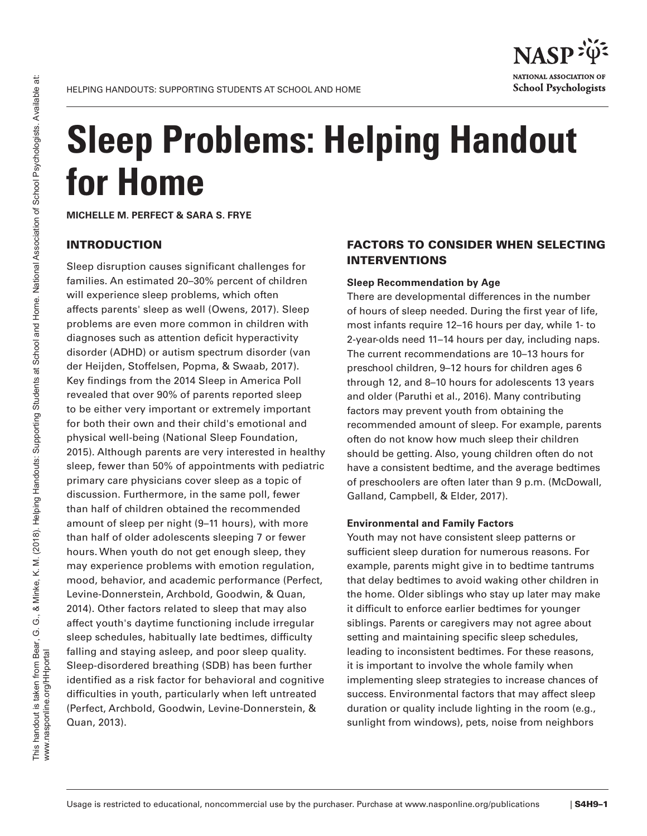# **Sleep Problems: Helping Handout for Home**

**MICHELLE M. PERFECT & SARA S. FRYE**

## INTRODUCTION

Sleep disruption causes significant challenges for families. An estimated 20–30% percent of children will experience sleep problems, which often affects parents' sleep as well (Owens, 2017). Sleep problems are even more common in children with diagnoses such as attention deficit hyperactivity disorder (ADHD) or autism spectrum disorder (van der Heijden, Stoffelsen, Popma, & Swaab, 2017). Key findings from the 2014 Sleep in America Poll revealed that over 90% of parents reported sleep to be either very important or extremely important for both their own and their child's emotional and physical well-being (National Sleep Foundation, 2015). Although parents are very interested in healthy sleep, fewer than 50% of appointments with pediatric primary care physicians cover sleep as a topic of discussion. Furthermore, in the same poll, fewer than half of children obtained the recommended amount of sleep per night (9–11 hours), with more than half of older adolescents sleeping 7 or fewer hours. When youth do not get enough sleep, they may experience problems with emotion regulation, mood, behavior, and academic performance (Perfect, Levine-Donnerstein, Archbold, Goodwin, & Quan, 2014). Other factors related to sleep that may also affect youth's daytime functioning include irregular sleep schedules, habitually late bedtimes, difficulty falling and staying asleep, and poor sleep quality. Sleep-disordered breathing (SDB) has been further identified as a risk factor for behavioral and cognitive difficulties in youth, particularly when left untreated (Perfect, Archbold, Goodwin, Levine-Donnerstein, & Quan, 2013).

# FACTORS TO CONSIDER WHEN SELECTING INTERVENTIONS

### **Sleep Recommendation by Age**

There are developmental differences in the number of hours of sleep needed. During the first year of life, most infants require 12–16 hours per day, while 1- to 2-year-olds need 11–14 hours per day, including naps. The current recommendations are 10–13 hours for preschool children, 9–12 hours for children ages 6 through 12, and 8–10 hours for adolescents 13 years and older (Paruthi et al., 2016). Many contributing factors may prevent youth from obtaining the recommended amount of sleep. For example, parents often do not know how much sleep their children should be getting. Also, young children often do not have a consistent bedtime, and the average bedtimes of preschoolers are often later than 9 p.m. (McDowall, Galland, Campbell, & Elder, 2017).

### **Environmental and Family Factors**

Youth may not have consistent sleep patterns or sufficient sleep duration for numerous reasons. For example, parents might give in to bedtime tantrums that delay bedtimes to avoid waking other children in the home. Older siblings who stay up later may make it difficult to enforce earlier bedtimes for younger siblings. Parents or caregivers may not agree about setting and maintaining specific sleep schedules, leading to inconsistent bedtimes. For these reasons, it is important to involve the whole family when implementing sleep strategies to increase chances of success. Environmental factors that may affect sleep duration or quality include lighting in the room (e.g., sunlight from windows), pets, noise from neighbors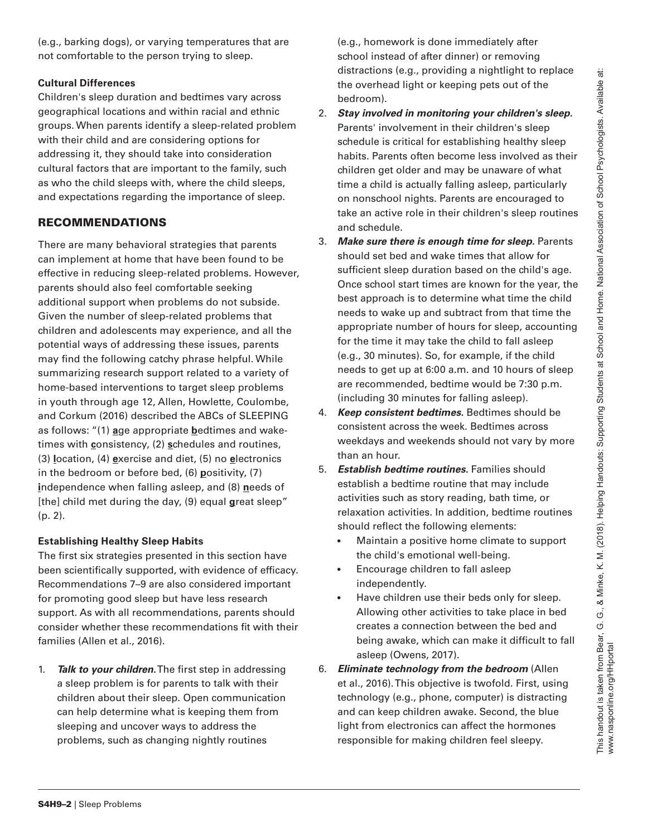(e.g., barking dogs), or varying temperatures that are not comfortable to the person trying to sleep.

### **Cultural Differences**

Children's sleep duration and bedtimes vary across geographical locations and within racial and ethnic groups. When parents identify a sleep-related problem with their child and are considering options for addressing it, they should take into consideration cultural factors that are important to the family, such as who the child sleeps with, where the child sleeps, and expectations regarding the importance of sleep.

## RECOMMENDATIONS

There are many behavioral strategies that parents can implement at home that have been found to be effective in reducing sleep-related problems. However, parents should also feel comfortable seeking additional support when problems do not subside. Given the number of sleep-related problems that children and adolescents may experience, and all the potential ways of addressing these issues, parents may find the following catchy phrase helpful. While summarizing research support related to a variety of home-based interventions to target sleep problems in youth through age 12, Allen, Howlette, Coulombe, and Corkum (2016) described the ABCs of SLEEPING as follows: "(1) **a**ge appropriate **b**edtimes and waketimes with **c**onsistency, (2) **s**chedules and routines, (3) **l**ocation, (4) **e**xercise and diet, (5) no **e**lectronics in the bedroom or before bed, (6) **p**ositivity, (7) **i**ndependence when falling asleep, and (8) **n**eeds of [the] child met during the day, (9) equal **g**reat sleep" (p. 2).

## **Establishing Healthy Sleep Habits**

The first six strategies presented in this section have been scientifically supported, with evidence of efficacy. Recommendations 7–9 are also considered important for promoting good sleep but have less research support. As with all recommendations, parents should consider whether these recommendations fit with their families (Allen et al., 2016).

1. *Talk to your children.* The first step in addressing a sleep problem is for parents to talk with their children about their sleep. Open communication can help determine what is keeping them from sleeping and uncover ways to address the problems, such as changing nightly routines

(e.g., homework is done immediately after school instead of after dinner) or removing distractions (e.g., providing a nightlight to replace the overhead light or keeping pets out of the bedroom).

- 2. *Stay involved in monitoring your children's sleep.* Parents' involvement in their children's sleep schedule is critical for establishing healthy sleep habits. Parents often become less involved as their children get older and may be unaware of what time a child is actually falling asleep, particularly on nonschool nights. Parents are encouraged to take an active role in their children's sleep routines and schedule.
- 3. *Make sure there is enough time for sleep.* Parents should set bed and wake times that allow for sufficient sleep duration based on the child's age. Once school start times are known for the year, the best approach is to determine what time the child needs to wake up and subtract from that time the appropriate number of hours for sleep, accounting for the time it may take the child to fall asleep (e.g., 30 minutes). So, for example, if the child needs to get up at 6:00 a.m. and 10 hours of sleep are recommended, bedtime would be 7:30 p.m. (including 30 minutes for falling asleep).
- 4. *Keep consistent bedtimes.* Bedtimes should be consistent across the week. Bedtimes across weekdays and weekends should not vary by more than an hour.
- 5. *Establish bedtime routines.* Families should establish a bedtime routine that may include activities such as story reading, bath time, or relaxation activities. In addition, bedtime routines should reflect the following elements:
	- Maintain a positive home climate to support the child's emotional well-being.
	- Encourage children to fall asleep independently.
	- Have children use their beds only for sleep. Allowing other activities to take place in bed creates a connection between the bed and being awake, which can make it difficult to fall asleep (Owens, 2017).
- 6. *Eliminate technology from the bedroom* (Allen et al., 2016). This objective is twofold. First, using technology (e.g., phone, computer) is distracting and can keep children awake. Second, the blue light from electronics can affect the hormones responsible for making children feel sleepy.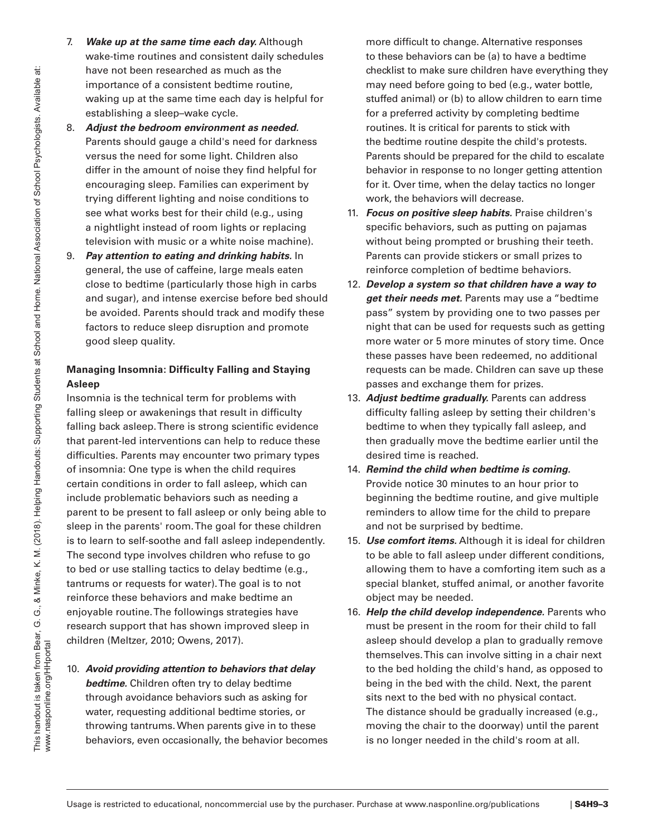- 7. *Wake up at the same time each day.* Although wake-time routines and consistent daily schedules have not been researched as much as the importance of a consistent bedtime routine, waking up at the same time each day is helpful for establishing a sleep–wake cycle.
- 8. *Adjust the bedroom environment as needed.* Parents should gauge a child's need for darkness versus the need for some light. Children also differ in the amount of noise they find helpful for encouraging sleep. Families can experiment by trying different lighting and noise conditions to see what works best for their child (e.g., using a nightlight instead of room lights or replacing television with music or a white noise machine).
- 9. *Pay attention to eating and drinking habits.* In general, the use of caffeine, large meals eaten close to bedtime (particularly those high in carbs and sugar), and intense exercise before bed should be avoided. Parents should track and modify these factors to reduce sleep disruption and promote good sleep quality.

## **Managing Insomnia: Difficulty Falling and Staying Asleep**

Insomnia is the technical term for problems with falling sleep or awakenings that result in difficulty falling back asleep. There is strong scientific evidence that parent-led interventions can help to reduce these difficulties. Parents may encounter two primary types of insomnia: One type is when the child requires certain conditions in order to fall asleep, which can include problematic behaviors such as needing a parent to be present to fall asleep or only being able to sleep in the parents' room. The goal for these children is to learn to self-soothe and fall asleep independently. The second type involves children who refuse to go to bed or use stalling tactics to delay bedtime (e.g., tantrums or requests for water). The goal is to not reinforce these behaviors and make bedtime an enjoyable routine. The followings strategies have research support that has shown improved sleep in children (Meltzer, 2010; Owens, 2017).

10. *Avoid providing attention to behaviors that delay bedtime.* Children often try to delay bedtime through avoidance behaviors such as asking for water, requesting additional bedtime stories, or throwing tantrums. When parents give in to these behaviors, even occasionally, the behavior becomes

more difficult to change. Alternative responses to these behaviors can be (a) to have a bedtime checklist to make sure children have everything they may need before going to bed (e.g., water bottle, stuffed animal) or (b) to allow children to earn time for a preferred activity by completing bedtime routines. It is critical for parents to stick with the bedtime routine despite the child's protests. Parents should be prepared for the child to escalate behavior in response to no longer getting attention for it. Over time, when the delay tactics no longer work, the behaviors will decrease.

- 11. *Focus on positive sleep habits.* Praise children's specific behaviors, such as putting on pajamas without being prompted or brushing their teeth. Parents can provide stickers or small prizes to reinforce completion of bedtime behaviors.
- 12. *Develop a system so that children have a way to get their needs met.* Parents may use a "bedtime pass" system by providing one to two passes per night that can be used for requests such as getting more water or 5 more minutes of story time. Once these passes have been redeemed, no additional requests can be made. Children can save up these passes and exchange them for prizes.
- 13. *Adjust bedtime gradually.* Parents can address difficulty falling asleep by setting their children's bedtime to when they typically fall asleep, and then gradually move the bedtime earlier until the desired time is reached.
- 14. *Remind the child when bedtime is coming.* Provide notice 30 minutes to an hour prior to beginning the bedtime routine, and give multiple reminders to allow time for the child to prepare and not be surprised by bedtime.
- 15. *Use comfort items.* Although it is ideal for children to be able to fall asleep under different conditions, allowing them to have a comforting item such as a special blanket, stuffed animal, or another favorite object may be needed.
- 16. *Help the child develop independence.* Parents who must be present in the room for their child to fall asleep should develop a plan to gradually remove themselves. This can involve sitting in a chair next to the bed holding the child's hand, as opposed to being in the bed with the child. Next, the parent sits next to the bed with no physical contact. The distance should be gradually increased (e.g., moving the chair to the doorway) until the parent is no longer needed in the child's room at all.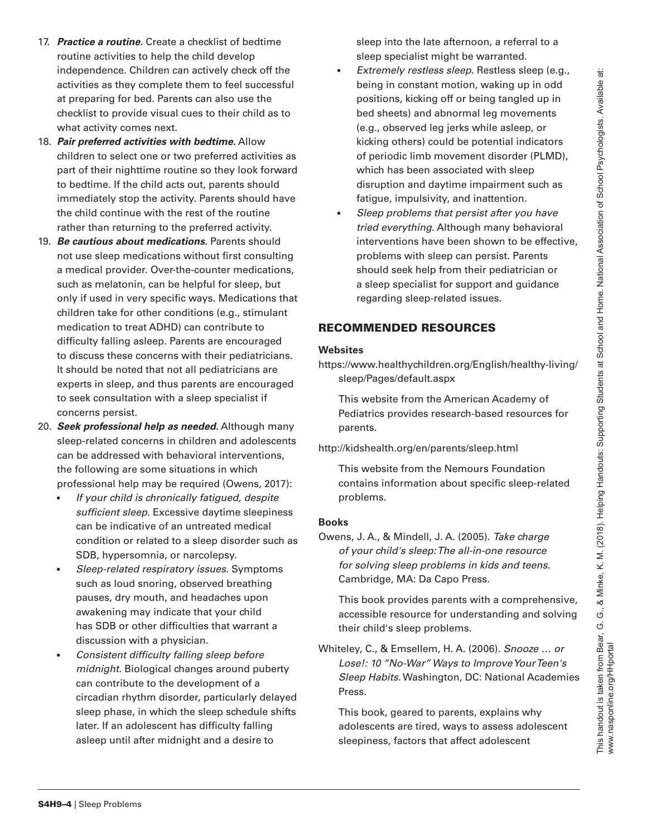- 17. *Practice a routine.* Create a checklist of bedtime routine activities to help the child develop independence. Children can actively check off the activities as they complete them to feel successful at preparing for bed. Parents can also use the checklist to provide visual cues to their child as to what activity comes next.
- 18. *Pair preferred activities with bedtime.* Allow children to select one or two preferred activities as part of their nighttime routine so they look forward to bedtime. If the child acts out, parents should immediately stop the activity. Parents should have the child continue with the rest of the routine rather than returning to the preferred activity.
- 19. *Be cautious about medications.* Parents should not use sleep medications without first consulting a medical provider. Over-the-counter medications, such as melatonin, can be helpful for sleep, but only if used in very specific ways. Medications that children take for other conditions (e.g., stimulant medication to treat ADHD) can contribute to difficulty falling asleep. Parents are encouraged to discuss these concerns with their pediatricians. It should be noted that not all pediatricians are experts in sleep, and thus parents are encouraged to seek consultation with a sleep specialist if concerns persist.
- 20. *Seek professional help as needed.* Although many sleep-related concerns in children and adolescents can be addressed with behavioral interventions, the following are some situations in which professional help may be required (Owens, 2017):
	- *If your child is chronically fatigued, despite sufficient sleep.* Excessive daytime sleepiness can be indicative of an untreated medical condition or related to a sleep disorder such as SDB, hypersomnia, or narcolepsy.
	- *Sleep-related respiratory issues.* Symptoms such as loud snoring, observed breathing pauses, dry mouth, and headaches upon awakening may indicate that your child has SDB or other difficulties that warrant a discussion with a physician.
	- *Consistent difficulty falling sleep before midnight.* Biological changes around puberty can contribute to the development of a circadian rhythm disorder, particularly delayed sleep phase, in which the sleep schedule shifts later. If an adolescent has difficulty falling asleep until after midnight and a desire to

sleep into the late afternoon, a referral to a sleep specialist might be warranted.

- *Extremely restless sleep.* Restless sleep (e.g., being in constant motion, waking up in odd positions, kicking off or being tangled up in bed sheets) and abnormal leg movements (e.g., observed leg jerks while asleep, or kicking others) could be potential indicators of periodic limb movement disorder (PLMD), which has been associated with sleep disruption and daytime impairment such as fatigue, impulsivity, and inattention.
- *Sleep problems that persist after you have tried everything.* Although many behavioral interventions have been shown to be effective, problems with sleep can persist. Parents should seek help from their pediatrician or a sleep specialist for support and guidance regarding sleep-related issues.

## RECOMMENDED RESOURCES

### **Websites**

https://www.healthychildren.org/English/healthy-living/ sleep/Pages/default.aspx

This website from the American Academy of Pediatrics provides research-based resources for parents.

http://kidshealth.org/en/parents/sleep.html

This website from the Nemours Foundation contains information about specific sleep-related problems.

## **Books**

Owens, J. A., & Mindell, J. A. (2005). *Take charge of your child's sleep: The all-in-one resource for solving sleep problems in kids and teens.* Cambridge, MA: Da Capo Press.

This book provides parents with a comprehensive, accessible resource for understanding and solving their child's sleep problems.

Whiteley, C., & Emsellem, H. A. (2006). *Snooze … or Lose!: 10 "No-War" Ways to Improve Your Teen's Sleep Habits.* Washington, DC: National Academies Press.

This book, geared to parents, explains why adolescents are tired, ways to assess adolescent sleepiness, factors that affect adolescent